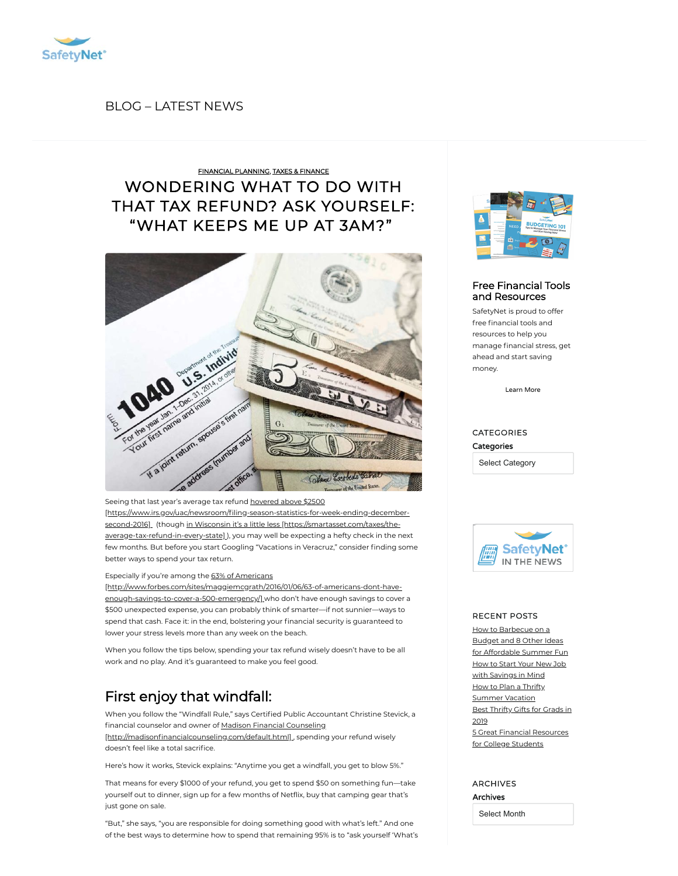

# BLOG [– LATEST](https://safetynet.com/blog/all-posts/) NEWS

# [WONDERING](https://safetynet.com/blog/what-to-do-tax-refund/) WHAT TO DO WITH THAT TAX REFUND? ASK YOURSELF: "WHAT KEEPS ME UP AT 3AM?" FINANCIAL [PLANNING,](https://safetynet.com/blog/category/financial-planning/) TAXES & [FINANCE](https://safetynet.com/blog/category/tips-advice/taxes-finance/)



Seeing that last year's average tax refund hovered above \$2500 [https://www.irs.gov/uac/newsroom/filing-season-statistics-for-week-ending-decembersecond-2016] (though in Wisconsin it's a little less [https://smartasset.com/taxes/the[average-tax-refund-in-every-state\]](https://smartasset.com/taxes/the-average-tax-refund-in-every-state)], you may well be expecting a hefty check in the next few months. But before you start Googling "Vacations in Veracruz," consider finding some better ways to spend your tax return.

### Especially if you're among the 63% of Americans

[\[http://www.forbes.com/sites/maggiemcgrath/2016/01/06/63-of-americans-dont-have](http://www.forbes.com/sites/maggiemcgrath/2016/01/06/63-of-americans-dont-have-enough-savings-to-cover-a-500-emergency/)enough-savings-to-cover-a-500-emergency/] who don't have enough savings to cover a \$500 unexpected expense, you can probably think of smarter—if not sunnier—ways to spend that cash. Face it: in the end, bolstering your financial security is guaranteed to lower your stress levels more than any week on the beach.

When you follow the tips below, spending your tax refund wisely doesn't have to be all work and no play. And it's guaranteed to make you feel good.

# First enjoy that windfall:

When you follow the "Windfall Rule," says Certified Public Accountant Christine Stevick, a financial counselor and owner of Madison Financial Counseling [http://madisonfinancialcounseling.com/default.html], spending your refund wisely doesn't feel like a total sacrifice.

Here's how it works, Stevick explains: "Anytime you get a windfall, you get to blow 5%."

That means for every \$1000 of your refund, you get to spend \$50 on something fun—take yourself out to dinner, sign up for a few months of Netflix, buy that camping gear that's just gone on sale.

"But," she says, "you are responsible for doing something good with what's left." And one of the best ways to determine how to spend that remaining 95% is to "ask yourself 'What's



## Free Financial Tools and [Resources](https://safetynet.com/blog/resources/)

SafetyNet is proud to offer free financial tools and resources to help you manage financial stress, get ahead and start saving money.

[Learn](https://safetynet.com/blog/resources/) More

# CATEGORIES **Categories**

Select Category



#### RECENT POSTS

How [to Barbecue](https://safetynet.com/blog/how-to-barbecue-on-a-budget-and-8-other-ideas-for-affordable-summer-fun/) on a Budget and 8 Other Ideas for Affordable Summer Fun How to Start Your New Job with [Savings](https://safetynet.com/blog/start-your-new-job-with-savings-in-mind/) in Mind How to Plan a Thrifty [Summer](https://safetynet.com/blog/how-to-plan-a-thrifty-summer-vacation/) Vacation Best [Thrifty](https://safetynet.com/blog/best-thrifty-gifts-for-grads-in-2019/) Gifts for Grads in 2019 5 Great Financial [Resources](https://safetynet.com/blog/5-great-financial-resources-for-college-students/)

for College Students

ARCHIVES Archives

Select Month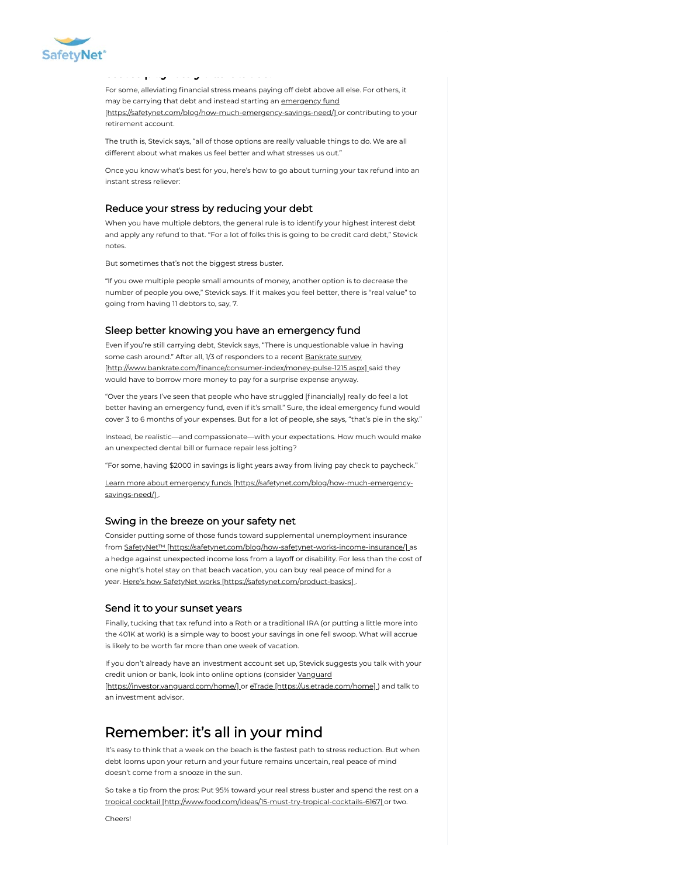

For some, alleviating financial stress means paying off debt above all else. For others, it may be carrying that debt and instead starting an emergency fund [\[https://safetynet.com/blog/how-much-emergency-savings-need/\]](https://safetynet.com/blog/how-much-emergency-savings-need/) or contributing to your retirement account.

The truth is, Stevick says, "all of those options are really valuable things to do. We are all different about what makes us feel better and what stresses us out."

Once you know what's best for you, here's how to go about turning your tax refund into an instant stress reliever:

## Reduce your stress by reducing your debt

When you have multiple debtors, the general rule is to identify your highest interest debt and apply any refund to that. "For a lot of folks this is going to be credit card debt," Stevick notes.

But sometimes that's not the biggest stress buster.

[T](https://safetynet.com/)hen pay off your stress:

"If you owe multiple people small amounts of money, another option is to decrease the number of people you owe," Stevick says. If it makes you feel better, there is "real value" to going from having 11 debtors to, say, 7.

#### Sleep better knowing you have an emergency fund

Even if you're still carrying debt, Stevick says, "There is unquestionable value in having some cash around." After all, 1/3 of responders to a recent **Bankrate survey** [http://www.bankrate.com/finance/consumer-index/money-pulse-1215.aspx] said they would have to borrow more money to pay for a surprise expense anyway.

"Over the years I've seen that people who have struggled [financially] really do feel a lot better having an emergency fund, even if it's small." Sure, the ideal emergency fund would cover 3 to 6 months of your expenses. But for a lot of people, she says, "that's pie in the sky."

Instead, be realistic—and compassionate—with your expectations. How much would make an unexpected dental bill or furnace repair less jolting?

"For some, having \$2000 in savings is light years away from living pay check to paycheck."

Learn more about emergency funds [\[https://safetynet.com/blog/how-much-emergency](https://safetynet.com/blog/how-much-emergency-savings-need/)savings-need/].

## Swing in the breeze on your safety net

Consider putting some of those funds toward supplemental unemployment insurance from SafetyNet™ [\[https://safetynet.com/blog/how-safetynet-works-income-insurance/\]](https://safetynet.com/blog/how-safetynet-works-income-insurance/) as a hedge against unexpected income loss from a layoff or disability. For less than the cost of one night's hotel stay on that beach vacation, you can buy real peace of mind for a year. Here's how SafetyNet works [\[https://safetynet.com/product-basics\]](https://safetynet.com/product-basics) .

## Send it to your sunset years

Finally, tucking that tax refund into a Roth or a traditional IRA (or putting a little more into the 401K at work) is a simple way to boost your savings in one fell swoop. What will accrue is likely to be worth far more than one week of vacation.

If you don't already have an investment account set up, Stevick suggests you talk with your credit union or bank, look into online options (consider Vanguard

[\[https://investor.vanguard.com/home/\]](https://investor.vanguard.com/home/) or eTrade [\[https://us.etrade.com/home\]](https://us.etrade.com/home)] and talk to an investment advisor.

# Remember: it's all in your mind

It's easy to think that a week on the beach is the fastest path to stress reduction. But when debt looms upon your return and your future remains uncertain, real peace of mind doesn't come from a snooze in the sun.

So take a tip from the pros: Put 95% toward your real stress buster and spend the rest on a tropical cocktail [\[http://www.food.com/ideas/15-must-try-tropical-cocktails-6167\]](http://www.food.com/ideas/15-must-try-tropical-cocktails-6167) or two.